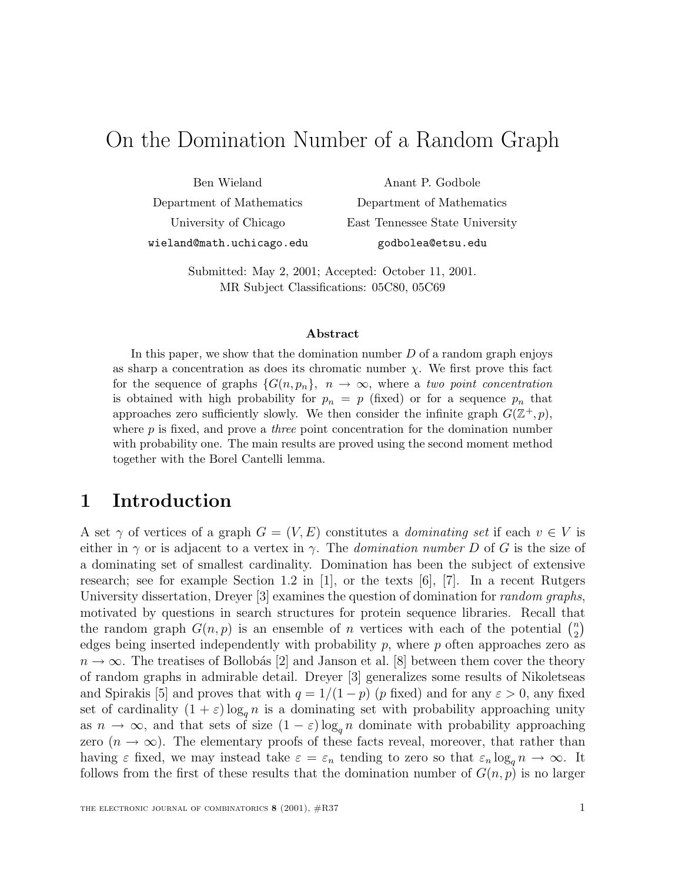# On the Domination Number of a Random Graph

Ben Wieland Department of Mathematics University of Chicago wieland@math.uchicago.edu

Anant P. Godbole Department of Mathematics East Tennessee State University godbolea@etsu.edu

Submitted: May 2, 2001; Accepted: October 11, 2001. MR Subject Classifications: 05C80, 05C69

#### **Abstract**

In this paper, we show that the domination number  $D$  of a random graph enjoys as sharp a concentration as does its chromatic number  $\chi$ . We first prove this fact for the sequence of graphs  $\{G(n, p_n)\}, n \to \infty$ , where a two point concentration is obtained with high probability for  $p_n = p$  (fixed) or for a sequence  $p_n$  that approaches zero sufficiently slowly. We then consider the infinite graph  $G(\mathbb{Z}^+, p)$ , where  $p$  is fixed, and prove a *three* point concentration for the domination number with probability one. The main results are proved using the second moment method together with the Borel Cantelli lemma.

## **1 Introduction**

A set  $\gamma$  of vertices of a graph  $G = (V, E)$  constitutes a *dominating set* if each  $v \in V$  is either in  $\gamma$  or is adjacent to a vertex in  $\gamma$ . The *domination number* D of G is the size of a dominating set of smallest cardinality. Domination has been the subject of extensive research; see for example Section 1.2 in [1], or the texts  $[6]$ , [7]. In a recent Rutgers University dissertation, Dreyer [3] examines the question of domination for *random graphs*, motivated by questions in search structures for protein sequence libraries. Recall that the random graph  $G(n, p)$  is an ensemble of *n* vertices with each of the potential  $\binom{n}{2}$ <br>edges being inserted independently with probability *n* where *n* often approaches zero as edges being inserted independently with probability p, where p often approaches zero as<br> $p \rightarrow \infty$ . The treatises of Bollobás [2] and Japson et al. [8] between them cover the theory  $n \to \infty$ . The treatises of Bollobás [2] and Janson et al. [8] between them cover the theory of random graphs in admirable detail. Dreyer [3] generalizes some results of Nikoletseas and Spirakis [5] and proves that with  $q = 1/(1-p)$  (p fixed) and for any  $\varepsilon > 0$ , any fixed set of cardinality  $(1 + \varepsilon) \log_a n$  is a dominating set with probability approaching unity as  $n \to \infty$ , and that sets of size  $(1 - \varepsilon) \log_q n$  dominate with probability approaching zero  $(n \to \infty)$ . The elementary proofs of these facts reveal, moreover, that rather than having  $\varepsilon$  fixed, we may instead take  $\varepsilon = \varepsilon_n$  tending to zero so that  $\varepsilon_n \log_q n \to \infty$ . It follows from the first of these results that the domination number of  $G(n, p)$  is no larger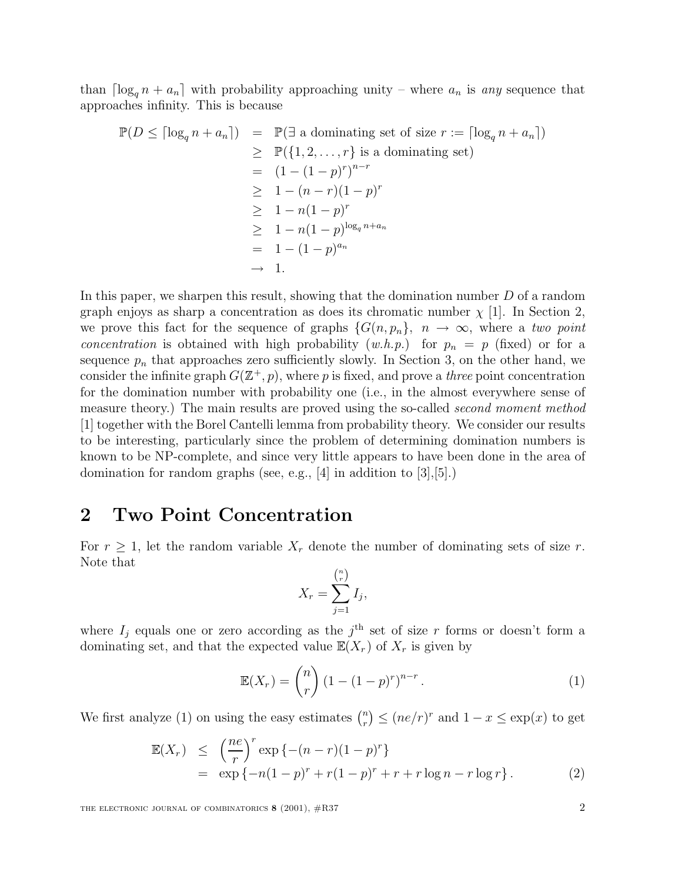than  $\lceil \log_q n + a_n \rceil$  with probability approaching unity – where  $a_n$  is any sequence that approaches infinity. This is because

$$
\mathbb{P}(D \leq \lceil \log_q n + a_n \rceil) = \mathbb{P}(\exists \text{ a dominating set of size } r := \lceil \log_q n + a_n \rceil)
$$
  
\n
$$
\geq \mathbb{P}(\{1, 2, \dots, r\} \text{ is a dominating set})
$$
  
\n
$$
= (1 - (1 - p)^r)^{n-r}
$$
  
\n
$$
\geq 1 - (n - r)(1 - p)^r
$$
  
\n
$$
\geq 1 - n(1 - p)^r
$$
  
\n
$$
\geq 1 - n(1 - p)^{\log_q n + a_n}
$$
  
\n
$$
= 1 - (1 - p)^{a_n}
$$
  
\n
$$
\to 1.
$$

In this paper, we sharpen this result, showing that the domination number D of a random graph enjoys as sharp a concentration as does its chromatic number  $\chi$  [1]. In Section 2, we prove this fact for the sequence of graphs  $\{G(n, p_n)\}\$ ,  $n \to \infty$ , where a two point concentration is obtained with high probability  $(w.h.p.)$  for  $p_n = p$  (fixed) or for a sequence  $p_n$  that approaches zero sufficiently slowly. In Section 3, on the other hand, we consider the infinite graph  $G(\mathbb{Z}^+, p)$ , where p is fixed, and prove a *three* point concentration for the domination number with probability one (i.e., in the almost everywhere sense of measure theory.) The main results are proved using the so-called *second moment method* [1] together with the Borel Cantelli lemma from probability theory. We consider our results to be interesting, particularly since the problem of determining domination numbers is known to be NP-complete, and since very little appears to have been done in the area of domination for random graphs (see, e.g., [4] in addition to [3],[5].)

#### **2 Two Point Concentration**

For  $r \geq 1$ , let the random variable  $X_r$  denote the number of dominating sets of size r. Note that

$$
X_r = \sum_{j=1}^{\binom{n}{r}} I_j,
$$

where  $I_j$  equals one or zero according as the j<sup>th</sup> set of size r forms or doesn't form a dominating set, and that the expected value  $\mathbb{E}(X_r)$  of  $X_r$  is given by

$$
\mathbb{E}(X_r) = \binom{n}{r} \left(1 - (1 - p)^r\right)^{n - r}.\tag{1}
$$

We first analyze (1) on using the easy estimates  $\binom{n}{r} \leq (ne/r)^r$  and  $1-x \leq \exp(x)$  to get

$$
\mathbb{E}(X_r) \leq \left(\frac{ne}{r}\right)^r \exp\left\{-(n-r)(1-p)^r\right\} \n= \exp\left\{-n(1-p)^r + r(1-p)^r + r + r\log n - r\log r\right\}.
$$
\n(2)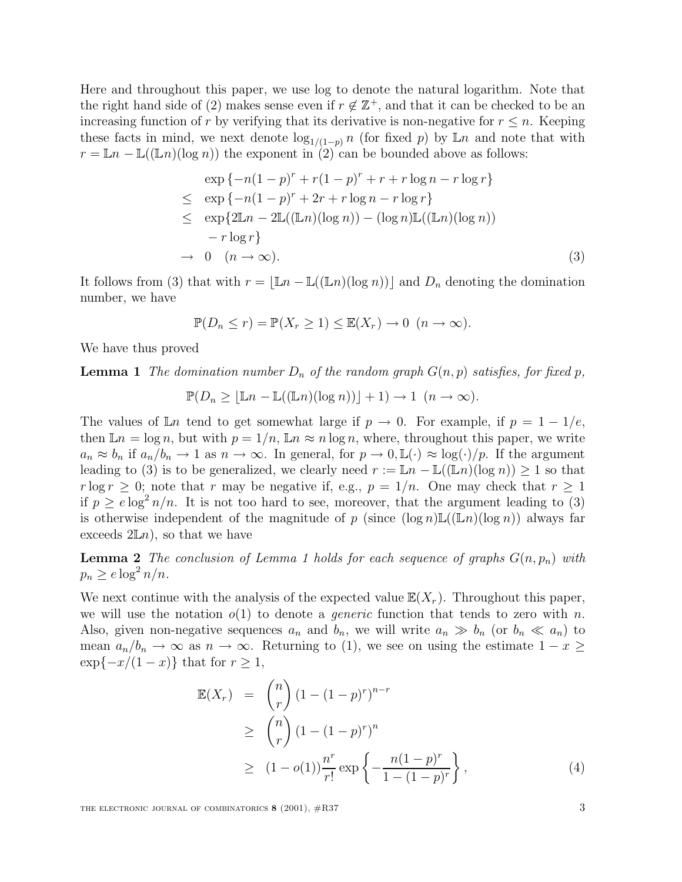Here and throughout this paper, we use log to denote the natural logarithm. Note that the right hand side of (2) makes sense even if  $r \notin \mathbb{Z}^+$ , and that it can be checked to be an increasing function of r by verifying that its derivative is non-negative for  $r \leq n$ . Keeping these facts in mind, we next denote  $\log_{1/(1-p)} n$  (for fixed p) by Ln and note that with  $x - \mathbb{L} n = \mathbb{L}(\mathbb{L} n)(\log n)$  the exponent in (2) can be bounded above as follows:  $r = \mathbb{L}n - \mathbb{L}(\mathbb{L}n)(\log n)$  the exponent in (2) can be bounded above as follows:

$$
\exp\{-n(1-p)^r + r(1-p)^r + r + r\log n - r\log r\}
$$
\n
$$
\leq \exp\{-n(1-p)^r + 2r + r\log n - r\log r\}
$$
\n
$$
\leq \exp\{2\mathbb{L}n - 2\mathbb{L}((\mathbb{L}n)(\log n)) - (\log n)\mathbb{L}((\mathbb{L}n)(\log n))
$$
\n
$$
-r\log r\}
$$
\n
$$
\to 0 \quad (n \to \infty).
$$
\n(3)

It follows from (3) that with  $r = |\mathbb{L}n - \mathbb{L}((\mathbb{L}n)(\log n))|$  and  $D_n$  denoting the domination number, we have

$$
\mathbb{P}(D_n \le r) = \mathbb{P}(X_r \ge 1) \le \mathbb{E}(X_r) \to 0 \ \ (n \to \infty).
$$

We have thus proved

**Lemma 1** The domination number  $D_n$  of the random graph  $G(n, p)$  satisfies, for fixed p,

 $\mathbb{P}(D_n \geq |\mathbb{L}n - \mathbb{L}((\mathbb{L}n)(\log n))| + 1) \to 1 \ (n \to \infty).$ 

The values of  $\mathbb{L}n$  tend to get somewhat large if  $p \to 0$ . For example, if  $p = 1 - 1/e$ , then  $\mathbb{L}n = \log n$ , but with  $p = 1/n$ ,  $\mathbb{L}n \approx n \log n$ , where, throughout this paper, we write  $a_n \approx b_n$  if  $a_n/b_n \to 1$  as  $n \to \infty$ . In general, for  $p \to 0, \mathbb{L}(\cdot) \approx \log(\cdot)/p$ . If the argument leading to (3) is to be generalized, we clearly need  $r := \mathbb{L}n - \mathbb{L}((\mathbb{L}n)(\log n)) \geq 1$  so that  $r \log r \geq 0$ ; note that r may be negative if, e.g.,  $p = 1/n$ . One may check that  $r \geq 1$ if  $p > e \log^2 n/n$ . It is not too hard to see, moreover, that the argument leading to (3) is otherwise independent of the magnitude of p (since  $(\log n)\mathbb{L}((\mathbb{L}n)(\log n))$  always far exceeds  $2\mathbb{L}n$ , so that we have

**Lemma 2** The conclusion of Lemma 1 holds for each sequence of graphs  $G(n, p_n)$  with  $p_n \geq e \log^2 n/n$ .

We next continue with the analysis of the expected value  $\mathbb{E}(X_r)$ . Throughout this paper, we will use the notation  $o(1)$  to denote a *generic* function that tends to zero with n. Also, given non-negative sequences  $a_n$  and  $b_n$ , we will write  $a_n \gg b_n$  (or  $b_n \ll a_n$ ) to mean  $a_n/b_n \to \infty$  as  $n \to \infty$ . Returning to (1), we see on using the estimate  $1-x \ge$  $\exp\{-x/(1-x)\}\$  that for  $r\geq 1$ ,

$$
\mathbb{E}(X_r) = \binom{n}{r} (1 - (1 - p)^r)^{n-r} \n\geq \binom{n}{r} (1 - (1 - p)^r)^n \n\geq (1 - o(1)) \frac{n^r}{r!} \exp\left\{-\frac{n(1 - p)^r}{1 - (1 - p)^r}\right\},
$$
\n(4)

THE ELECTRONIC JOURNAL OF COMBINATORICS **8** (2001),  $\#R37$  3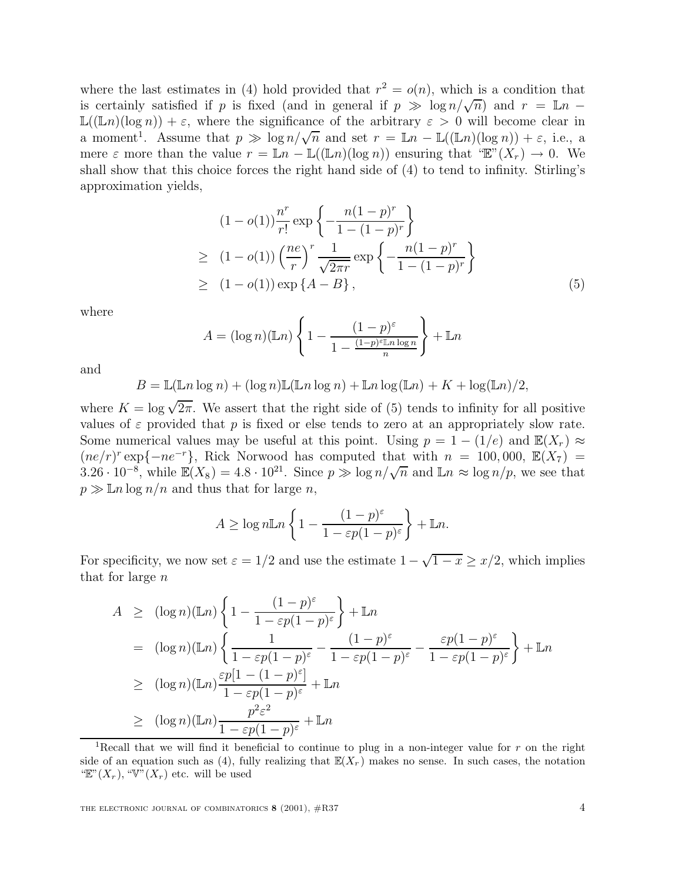where the last estimates in (4) hold provided that  $r^2 = o(n)$ , which is a condition that is certainly satisfied if p is fixed (and in general if  $p \gg \log n/\sqrt{n}$ ) and  $r = \mathbb{L}n$  −  $\mathbb{L}((\mathbb{L}n)(\log n)) + \varepsilon$ , where the significance of the arbitrary  $\varepsilon > 0$  will become clear in a moment<sup>1</sup>. Assume that  $p \gg \log n/\sqrt{n}$  and set  $r = \mathbb{L}n - \mathbb{L}((\mathbb{L}n)(\log n)) + \varepsilon$ , i.e., a mere  $\varepsilon$  more than the value  $r = \mathbb{L}n - \mathbb{L}((\mathbb{L}n)(\log n))$  ensuring that " $\mathbb{E}^{n}(X_r) \to 0$ . We shall show that this choice forces the right hand side of (4) to tend to infinity. Stirling's approximation yields,

$$
(1 - o(1))\frac{n^r}{r!} \exp\left\{-\frac{n(1 - p)^r}{1 - (1 - p)^r}\right\}
$$
  
\n
$$
\geq (1 - o(1))\left(\frac{ne}{r}\right)^r \frac{1}{\sqrt{2\pi r}} \exp\left\{-\frac{n(1 - p)^r}{1 - (1 - p)^r}\right\}
$$
  
\n
$$
\geq (1 - o(1)) \exp\left\{A - B\right\},
$$
 (5)

where

$$
A = (\log n)(\mathbb{L}n) \left\{ 1 - \frac{(1-p)^{\varepsilon}}{1 - \frac{(1-p)^{\varepsilon} \mathbb{L}n \log n}{n}} \right\} + \mathbb{L}n
$$

and

$$
B = \mathbb{L}(\mathbb{L}n \log n) + (\log n)\mathbb{L}(\mathbb{L}n \log n) + \mathbb{L}n \log(\mathbb{L}n) + K + \log(\mathbb{L}n)/2,
$$

where  $K = \log \sqrt{2\pi}$ . We assert that the right side of (5) tends to infinity for all positive<br>values of  $\epsilon$  provided that n is fixed or else tends to zero at an appropriately slow rate values of  $\varepsilon$  provided that p is fixed or else tends to zero at an appropriately slow rate. Some numerical values may be useful at this point. Using  $p = 1 - (1/e)$  and  $\mathbb{E}(X_r) \approx$  $(ne/r)^r \exp\{-ne^{-r}\},\;$  Rick Norwood has computed that with  $n = 100,000,\; \mathbb{E}(X_7)$ 3.26 · 10<sup>-8</sup>, while  $\mathbb{E}(X_8) = 4.8 \cdot 10^{21}$ . Since  $p \gg \log n / \sqrt{n}$  and  $\mathbb{L}n \approx \log n / p$ , we see that  $p \gg \mathbb{L}n \log n/n$  and thus that for large n,

$$
A \ge \log n \mathbb{L} n \left\{ 1 - \frac{(1-p)^{\varepsilon}}{1 - \varepsilon p (1-p)^{\varepsilon}} \right\} + \mathbb{L} n.
$$

For specificity, we now set  $\varepsilon = 1/2$  and use the estimate  $1 - \sqrt{1 - x} \geq x/2$ , which implies that for large n

$$
A \geq (\log n)(\mathbb{L}n) \left\{ 1 - \frac{(1-p)^{\varepsilon}}{1 - \varepsilon p(1-p)^{\varepsilon}} \right\} + \mathbb{L}n
$$
  
\n
$$
= (\log n)(\mathbb{L}n) \left\{ \frac{1}{1 - \varepsilon p(1-p)^{\varepsilon}} - \frac{(1-p)^{\varepsilon}}{1 - \varepsilon p(1-p)^{\varepsilon}} - \frac{\varepsilon p(1-p)^{\varepsilon}}{1 - \varepsilon p(1-p)^{\varepsilon}} \right\} + \mathbb{L}n
$$
  
\n
$$
\geq (\log n)(\mathbb{L}n) \frac{\varepsilon p[1 - (1-p)^{\varepsilon}]}{1 - \varepsilon p(1-p)^{\varepsilon}} + \mathbb{L}n
$$
  
\n
$$
\geq (\log n)(\mathbb{L}n) \frac{p^2 \varepsilon^2}{1 - \varepsilon p(1-p)^{\varepsilon}} + \mathbb{L}n
$$
  
\n<sup>1</sup> Recall that we will find it beneficial to continue to plug in a non-integer value for  $r$  on the right

side of an equation such as (4), fully realizing that  $\mathbb{E}(X_r)$  makes no sense. In such cases, the notation "E" $(X_r)$ , "V" $(X_r)$  etc. will be used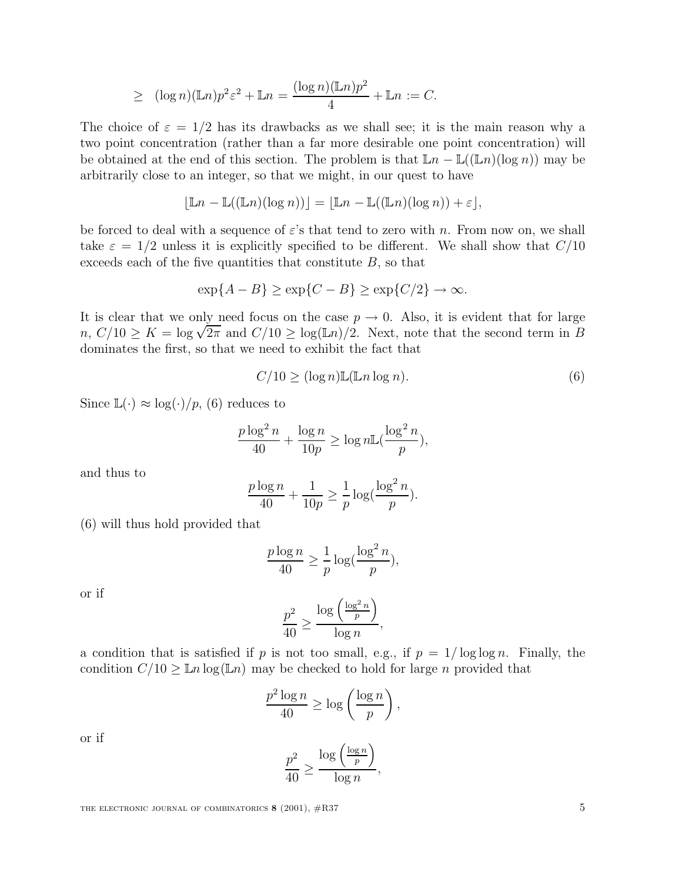$$
\geq (\log n)(\mathbb{L}n)p^2\varepsilon^2 + \mathbb{L}n = \frac{(\log n)(\mathbb{L}n)p^2}{4} + \mathbb{L}n := C.
$$

The choice of  $\varepsilon = 1/2$  has its drawbacks as we shall see; it is the main reason why a two point concentration (rather than a far more desirable one point concentration) will be obtained at the end of this section. The problem is that  $\mathbb{L}n - \mathbb{L}((\mathbb{L}n)(\log n))$  may be arbitrarily close to an integer, so that we might, in our quest to have

$$
\lfloor \mathbb{L} n - \mathbb{L}((\mathbb{L} n)(\log n)) \rfloor = \lfloor \mathbb{L} n - \mathbb{L}((\mathbb{L} n)(\log n)) + \varepsilon \rfloor,
$$

be forced to deal with a sequence of  $\varepsilon$ 's that tend to zero with n. From now on, we shall take  $\varepsilon = 1/2$  unless it is explicitly specified to be different. We shall show that  $C/10$ exceeds each of the five quantities that constitute  $B$ , so that

$$
\exp\{A - B\} \ge \exp\{C - B\} \ge \exp\{C/2\} \to \infty.
$$

It is clear that we only need focus on the case  $p \to 0$ . Also, it is evident that for large  $n, C/10 \ge K = \log \sqrt{2\pi}$  and  $C/10 \ge \log(\mathbb{L}n)/2$ . Next, note that the second term in B dominates the first, so that we need to exhibit the fact that

$$
C/10 \ge (\log n) \mathbb{L}(\mathbb{L}n \log n). \tag{6}
$$

Since  $\mathbb{L}(\cdot) \approx \log(\cdot)/p$ , (6) reduces to

$$
\frac{p \log^2 n}{40} + \frac{\log n}{10p} \ge \log n \mathbb{L}(\frac{\log^2 n}{p}),
$$

and thus to

$$
\frac{p\log n}{40} + \frac{1}{10p} \ge \frac{1}{p}\log\left(\frac{\log^2 n}{p}\right).
$$

(6) will thus hold provided that

$$
\frac{p\log n}{40} \ge \frac{1}{p}\log(\frac{\log^2 n}{p}),
$$

or if

$$
\frac{p^2}{40} \ge \frac{\log\left(\frac{\log^2 n}{p}\right)}{\log n},
$$

a condition that is satisfied if p is not too small, e.g., if  $p = 1/\log \log n$ . Finally, the condition  $C/10 \geq \ln \log (\ln n)$  may be checked to hold for large n provided that condition  $C/10 \geq \mathbb{L}n \log(\mathbb{L}n)$  may be checked to hold for large n provided that

$$
\frac{p^2\log n}{40} \ge \log\left(\frac{\log n}{p}\right),\,
$$

or if

$$
\frac{p^2}{40} \ge \frac{\log\left(\frac{\log n}{p}\right)}{\log n},
$$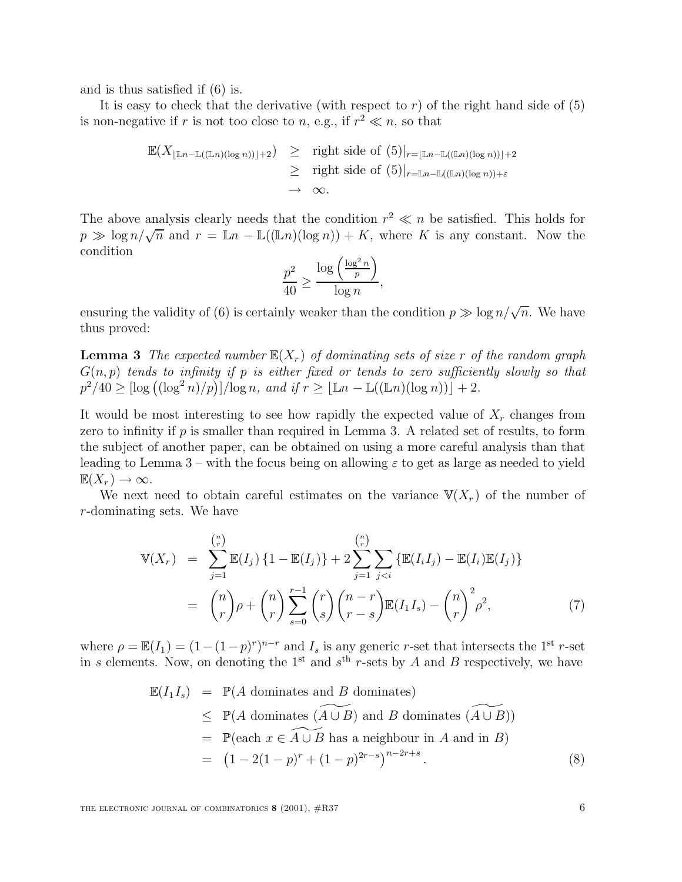and is thus satisfied if (6) is.

It is easy to check that the derivative (with respect to r) of the right hand side of  $(5)$ is non-negative if r is not too close to n, e.g., if  $r^2 \ll n$ , so that

$$
\mathbb{E}(X_{\lfloor \mathbb{L}n - \mathbb{L}((\mathbb{L}n)(\log n))\rfloor + 2}) \geq \text{right side of } (5)|_{r = \lfloor \mathbb{L}n - \mathbb{L}((\mathbb{L}n)(\log n))\rfloor + 2}
$$
\n
$$
\geq \text{right side of } (5)|_{r = \mathbb{L}n - \mathbb{L}((\mathbb{L}n)(\log n)) + \varepsilon}
$$
\n
$$
\to \infty.
$$

The above analysis clearly needs that the condition  $r^2 \ll n$  be satisfied. This holds for  $p \gg \log n / \sqrt{n}$  and  $r = \mathbb{L}n - \mathbb{L}((\mathbb{L}n)(\log n)) + K$ , where K is any constant. Now the condition

$$
\frac{p^2}{40} \ge \frac{\log\left(\frac{\log^2 n}{p}\right)}{\log n},
$$

ensuring the validity of (6) is certainly weaker than the condition  $p \gg \log n/\sqrt{n}$ . We have thus proved:

**Lemma 3** The expected number  $\mathbb{E}(X_r)$  of dominating sets of size r of the random graph  $G(n, p)$  tends to infinity if p is either fixed or tends to zero sufficiently slowly so that  $p^2/40 \geq [\log ((\log^2 n)/p)]/\log n$ , and if  $r \geq [\mathbb{L}n - \mathbb{L}((\mathbb{L}n)(\log n))] + 2$ .

It would be most interesting to see how rapidly the expected value of  $X_r$  changes from zero to infinity if  $p$  is smaller than required in Lemma 3. A related set of results, to form the subject of another paper, can be obtained on using a more careful analysis than that leading to Lemma 3 – with the focus being on allowing  $\varepsilon$  to get as large as needed to yield  $\mathbb{E}(X_r) \to \infty$ .

We next need to obtain careful estimates on the variance  $V(X_r)$  of the number of r-dominating sets. We have

$$
\mathbb{V}(X_r) = \sum_{j=1}^{\binom{n}{r}} \mathbb{E}(I_j) \{1 - \mathbb{E}(I_j)\} + 2 \sum_{j=1}^{\binom{n}{r}} \sum_{j < i} \{ \mathbb{E}(I_i I_j) - \mathbb{E}(I_i) \mathbb{E}(I_j) \} \\
= \binom{n}{r} \rho + \binom{n}{r} \sum_{s=0}^{r-1} \binom{r}{s} \binom{n-r}{r-s} \mathbb{E}(I_1 I_s) - \binom{n}{r}^2 \rho^2,\n\tag{7}
$$

where  $\rho = \mathbb{E}(I_1) = (1 - (1 - p)^r)^{n-r}$  and  $I_s$  is any generic r-set that intersects the 1<sup>st</sup> r-set in s elements. Now, on denoting the 1<sup>st</sup> and  $s<sup>th</sup>$  r-sets by A and B respectively, we have

$$
\mathbb{E}(I_1 I_s) = \mathbb{P}(A \text{ dominates and } B \text{ dominates})
$$
\n
$$
\leq \mathbb{P}(A \text{ dominates } (\widetilde{A \cup B}) \text{ and } B \text{ dominates } (\widetilde{A \cup B}))
$$
\n
$$
= \mathbb{P}(\text{each } x \in \widetilde{A \cup B} \text{ has a neighbour in } A \text{ and in } B)
$$
\n
$$
= (1 - 2(1 - p)^r + (1 - p)^{2r - s})^{n - 2r + s}.
$$
\n(8)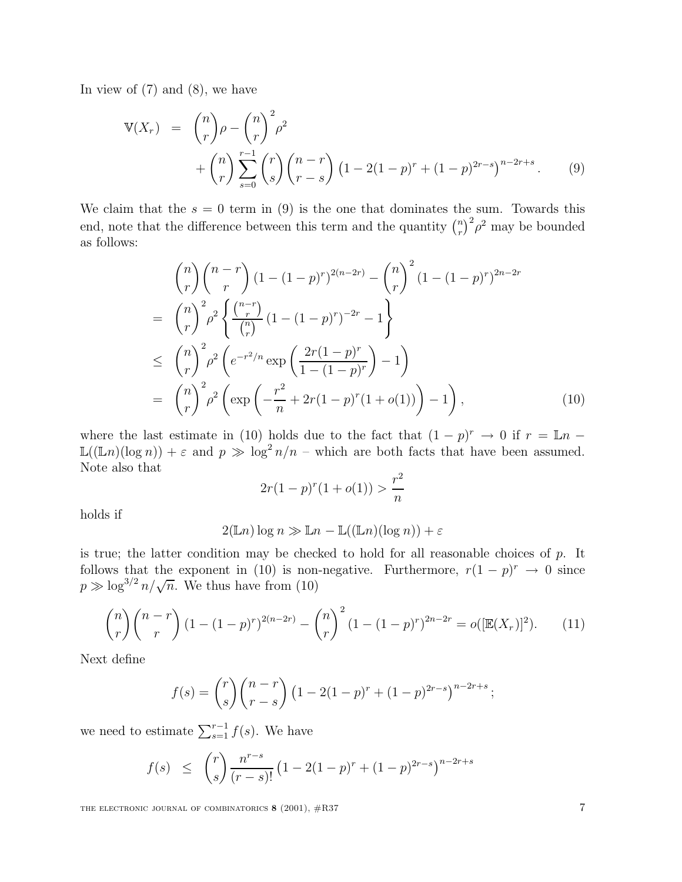In view of  $(7)$  and  $(8)$ , we have

$$
\mathbb{V}(X_r) = {n \choose r} \rho - {n \choose r}^2 \rho^2 + {n \choose r} \sum_{s=0}^{r-1} {r \choose s} {n-r \choose r-s} (1 - 2(1-p)^r + (1-p)^{2r-s})^{n-2r+s}.
$$
 (9)

We claim that the  $s = 0$  term in (9) is the one that dominates the sum. Towards this end, note that the difference between this term and the quantity  $\binom{n}{r}^2 \rho^2$  may be bounded as follows:

$$
{n \choose r} {n-r \choose r} (1 - (1-p)^r)^{2(n-2r)} - {n \choose r}^2 (1 - (1-p)^r)^{2n-2r}
$$
  
= 
$$
{n \choose r}^2 \rho^2 \left\{ \frac{{n-r \choose r}}{n} (1 - (1-p)^r)^{-2r} - 1 \right\}
$$
  

$$
\leq {n \choose r}^2 \rho^2 \left( e^{-r^2/n} \exp\left( \frac{2r(1-p)^r}{1 - (1-p)^r} \right) - 1 \right)
$$
  
= 
$$
{n \choose r}^2 \rho^2 \left( \exp\left( -\frac{r^2}{n} + 2r(1-p)^r(1+o(1)) \right) - 1 \right),
$$
 (10)

where the last estimate in (10) holds due to the fact that  $(1 - p)^r \to 0$  if  $r = \mathbb{L}n -$ <br> $\mathbb{L}(\mathbb{L}n)(\log n) + \varepsilon$  and  $n \gg \log^2 n/n$  – which are both facts that have been assumed  $\mathbb{L}((\mathbb{L}n)(\log n)) + \varepsilon$  and  $p \gg \log^2 n/n$  – which are both facts that have been assumed.<br>Note also that Note also that

$$
2r(1-p)^r(1+o(1)) > \frac{r^2}{n}
$$

holds if

$$
2(\mathbb{L}n)\log n \gg \mathbb{L}n - \mathbb{L}((\mathbb{L}n)(\log n)) + \varepsilon
$$

is true; the latter condition may be checked to hold for all reasonable choices of  $p$ . It follows that the exponent in (10) is non-negative. Furthermore,  $r(1 - p)^r \rightarrow 0$  since  $p \gg \log^{3/2} n / \sqrt{n}$ . We thus have from (10)

$$
\binom{n}{r}\binom{n-r}{r}\left(1-(1-p)^r\right)^{2(n-2r)}-\binom{n}{r}^2\left(1-(1-p)^r\right)^{2n-2r}=o([\mathbb{E}(X_r)]^2). \tag{11}
$$

Next define

$$
f(s) = {r \choose s} {n-r \choose r-s} (1 - 2(1-p)^r + (1-p)^{2r-s})^{n-2r+s};
$$

we need to estimate  $\sum_{s=1}^{r-1} f(s)$ . We have

$$
f(s) \leq {r \choose s} \frac{n^{r-s}}{(r-s)!} \left(1 - 2(1-p)^r + (1-p)^{2r-s}\right)^{n-2r+s}
$$

THE ELECTRONIC JOURNAL OF COMBINATORICS **8** (2001),  $\#R37$  7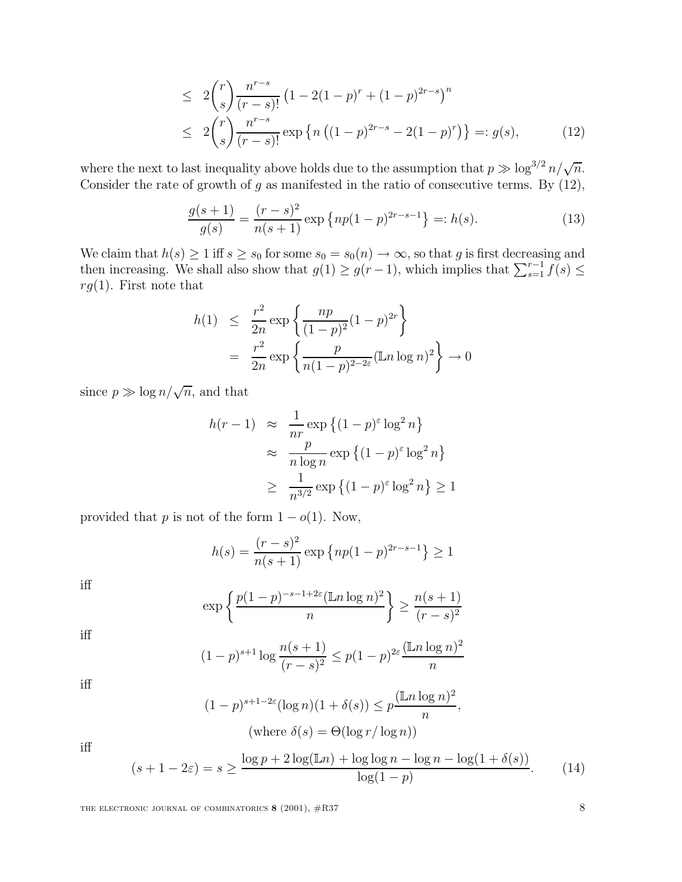$$
\leq 2 {r \choose s} \frac{n^{r-s}}{(r-s)!} \left(1 - 2(1-p)^r + (1-p)^{2r-s}\right)^n
$$
  
\n
$$
\leq 2 {r \choose s} \frac{n^{r-s}}{(r-s)!} \exp \left\{n \left((1-p)^{2r-s} - 2(1-p)^r\right)\right\} =: g(s), \tag{12}
$$

where the next to last inequality above holds due to the assumption that  $p \gg \log^{3/2} n / \sqrt{n}$ . Consider the rate of growth of  $g$  as manifested in the ratio of consecutive terms. By  $(12)$ ,

$$
\frac{g(s+1)}{g(s)} = \frac{(r-s)^2}{n(s+1)} \exp\left\{ np(1-p)^{2r-s-1} \right\} =: h(s).
$$
 (13)

We claim that  $h(s) \ge 1$  iff  $s \ge s_0$  for some  $s_0 = s_0(n) \to \infty$ , so that g is first decreasing and then increasing. We shall also show that  $g(1) > g(r-1)$  which implies that  $\sum^{r-1} f(s) <$ then increasing. We shall also show that  $g(1) \ge g(r-1)$ , which implies that  $\sum_{s=1}^{r-1} f(s) \le$ <br> $g(1)$ . First note that  $rg(1)$ . First note that

$$
h(1) \leq \frac{r^2}{2n} \exp \left\{ \frac{np}{(1-p)^2} (1-p)^{2r} \right\}
$$
  
= 
$$
\frac{r^2}{2n} \exp \left\{ \frac{p}{n(1-p)^{2-2\varepsilon}} (\ln \log n)^2 \right\} \to 0
$$

since  $p \gg \log n / \sqrt{n}$ , and that

$$
h(r-1) \approx \frac{1}{nr} \exp \left\{ (1-p)^{\varepsilon} \log^2 n \right\}
$$

$$
\approx \frac{p}{n \log n} \exp \left\{ (1-p)^{\varepsilon} \log^2 n \right\}
$$

$$
\geq \frac{1}{n^{3/2}} \exp \left\{ (1-p)^{\varepsilon} \log^2 n \right\} \geq 1
$$

provided that p is not of the form  $1 - o(1)$ . Now,

$$
h(s) = \frac{(r-s)^2}{n(s+1)} \exp\left\{ np(1-p)^{2r-s-1} \right\} \ge 1
$$

iff

$$
\exp\left\{\frac{p(1-p)^{-s-1+2\varepsilon}(\mathbb{L}n\log n)^2}{n}\right\} \ge \frac{n(s+1)}{(r-s)^2}
$$

iff

$$
(1-p)^{s+1} \log \frac{n(s+1)}{(r-s)^2} \le p(1-p)^{2\varepsilon} \frac{(\ln n \log n)^2}{n}
$$

iff

$$
(1-p)^{s+1-2\varepsilon} (\log n)(1+\delta(s)) \le p \frac{(\ln \log n)^2}{n},
$$
  
(where  $\delta(s) = \Theta(\log r / \log n))$ )

iff

$$
(s+1-2\varepsilon) = s \ge \frac{\log p + 2\log(\mathbb{L}n) + \log\log n - \log n - \log(1+\delta(s))}{\log(1-p)}.\tag{14}
$$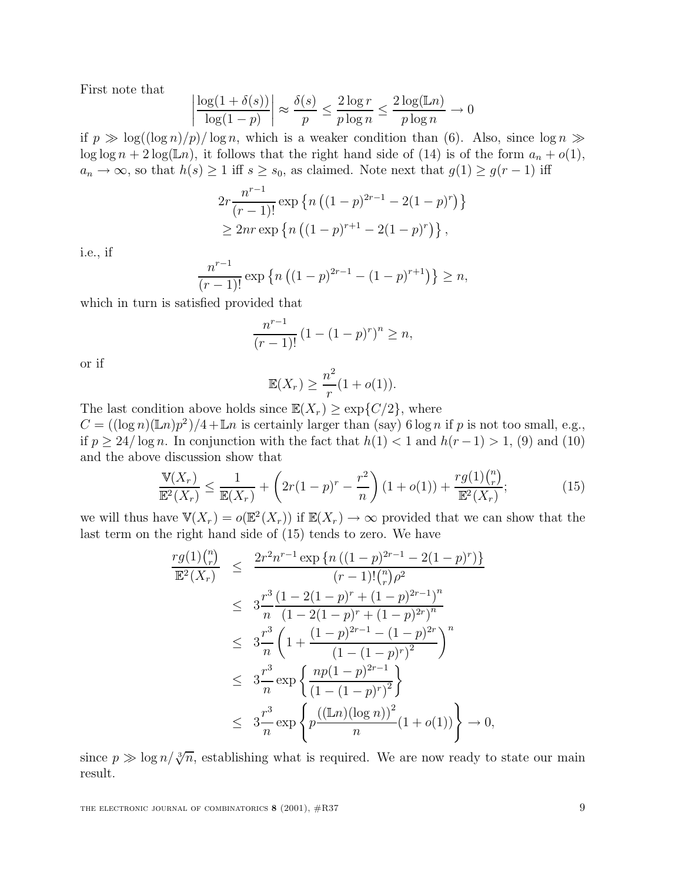First note that

$$
\left| \frac{\log(1 + \delta(s))}{\log(1 - p)} \right| \approx \frac{\delta(s)}{p} \le \frac{2 \log r}{p \log n} \le \frac{2 \log(\mathbb{L}n)}{p \log n} \to 0
$$

if  $p \gg \log((\log n)/p)/\log n$ , which is a weaker condition than (6). Also, since  $\log n \gg \log(\log n + 2\log(\ln n))$  it follows that the right hand side of (14) is of the form  $a + o(1)$  $\log \log n + 2 \log(\mathbb{L}n)$ , it follows that the right hand side of (14) is of the form  $a_n + o(1)$ ,  $a_n \to \infty$ , so that  $h(s) \geq 1$  iff  $s \geq s_0$ , as claimed. Note next that  $g(1) \geq g(r-1)$  iff

$$
2r \frac{n^{r-1}}{(r-1)!} \exp \left\{ n \left( (1-p)^{2r-1} - 2(1-p)^r \right) \right\}
$$
  
\n
$$
\geq 2nr \exp \left\{ n \left( (1-p)^{r+1} - 2(1-p)^r \right) \right\},
$$

i.e., if

$$
\frac{n^{r-1}}{(r-1)!} \exp \left\{ n \left( (1-p)^{2r-1} - (1-p)^{r+1} \right) \right\} \ge n,
$$

 $\frac{n}{(r-1)!}$  exp {n ((1)<br>which in turn is satisfied provided that

$$
\frac{n^{r-1}}{(r-1)!} (1 - (1-p)^r)^n \ge n,
$$

or if

$$
\mathbb{E}(X_r) \ge \frac{n^2}{r}(1+o(1)).
$$

The last condition above holds since  $\mathbb{E}(X_r) \geq \exp\{C/2\}$ , where  $C = ((\log n)(\mathbb{E}n)^{2})/4 + \mathbb{E}n$  is certainly larger than  $(\text{sw})$  6 log n  $C = ((\log n)(\mathbb{L}n)p^2)/4 + \mathbb{L}n$  is certainly larger than (say) 6 log n if p is not too small, e.g., if  $p \geq 24/\log n$ . In conjunction with the fact that  $h(1) < 1$  and  $h(r-1) > 1$ , (9) and (10) and the above discussion show that

$$
\frac{\mathbb{V}(X_r)}{\mathbb{E}^2(X_r)} \le \frac{1}{\mathbb{E}(X_r)} + \left(2r(1-p)^r - \frac{r^2}{n}\right)(1+o(1)) + \frac{rg(1)\binom{n}{r}}{\mathbb{E}^2(X_r)};
$$
\n(15)

we will thus have  $\mathbb{V}(X_r) = o(\mathbb{E}^2(X_r))$  if  $\mathbb{E}(X_r) \to \infty$  provided that we can show that the last term on the right hand side of (15) tonds to zero. We have last term on the right hand side of (15) tends to zero. We have

$$
\frac{rg(1)\binom{n}{r}}{\mathbb{E}^2(X_r)} \leq \frac{2r^2n^{r-1}\exp\left\{n\left((1-p)^{2r-1}-2(1-p)^r\right)\right\}}{(r-1)!(\binom{n}{r}\rho^2)}
$$
\n
$$
\leq 3\frac{r^3}{n}\frac{(1-2(1-p)^r+(1-p)^{2r-1})^n}{(1-2(1-p)^r+(1-p)^{2r})^n}
$$
\n
$$
\leq 3\frac{r^3}{n}\left(1+\frac{(1-p)^{2r-1}-(1-p)^{2r}}{(1-(1-p)^r)^2}\right)^n
$$
\n
$$
\leq 3\frac{r^3}{n}\exp\left\{\frac{np(1-p)^{2r-1}}{(1-(1-p)^r)^2}\right\}
$$
\n
$$
\leq 3\frac{r^3}{n}\exp\left\{p\frac{((\mathbb{L}n)(\log n))^2}{n}(1+o(1))\right\} \to 0,
$$

since  $p \gg \log n / \sqrt[3]{n}$ , establishing what is required. We are now ready to state our main result.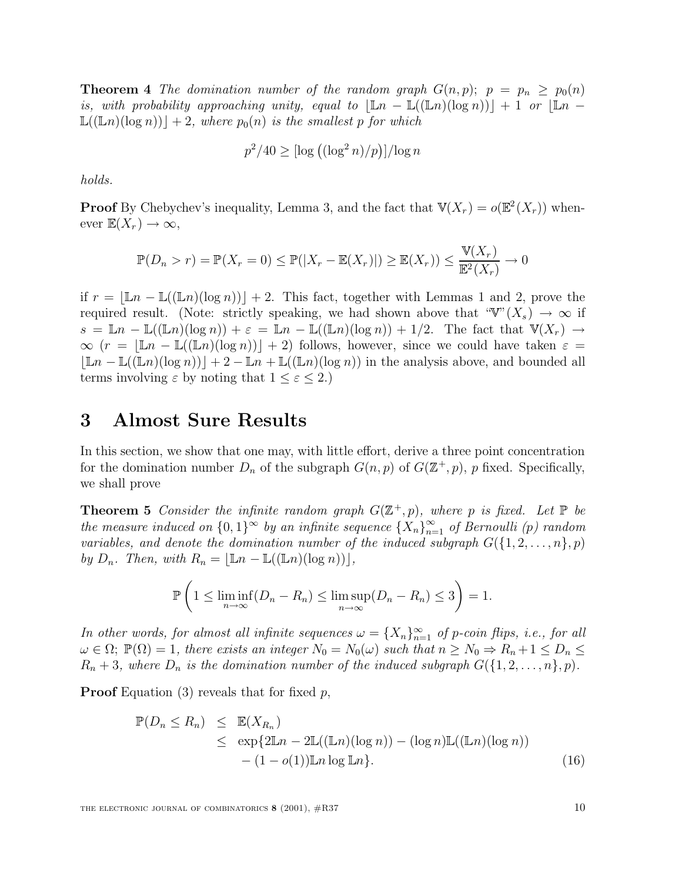**Theorem 4** The domination number of the random graph  $G(n, p)$ ;  $p = p_n \geq p_0(n)$ is, with probability approaching unity, equal to  $|\mathbb{L}n - \mathbb{L}((\mathbb{L}n)(\log n))| + 1$  or  $|\mathbb{L}n \mathbb{L}((\mathbb{L}n)(\log n))+2$ , where  $p_0(n)$  is the smallest p for which

$$
p^2/40 \geq \left[\log\left((\log^2 n)/p\right)\right]/\log n
$$

holds.

**Proof** By Chebychev's inequality, Lemma 3, and the fact that  $\mathbb{V}(X_r) = o(\mathbb{E}^2(X_r))$  whenever  $\mathbb{E}(X_r) \to \infty$ ,

$$
\mathbb{P}(D_n > r) = \mathbb{P}(X_r = 0) \le \mathbb{P}(|X_r - \mathbb{E}(X_r)|) \ge \mathbb{E}(X_r) \le \frac{\mathbb{V}(X_r)}{\mathbb{E}^2(X_r)} \to 0
$$

if  $r = |Ln - L(\lfloor Ln \rfloor(\log n))| + 2$ . This fact, together with Lemmas 1 and 2, prove the required result. (Note: strictly speaking, we had shown above that " $\mathbb{V}''(X_s) \to \infty$  if  $s = \mathbb{L}n - \mathbb{L}((\mathbb{L}n)(\log n)) + \varepsilon = \mathbb{L}n - \mathbb{L}((\mathbb{L}n)(\log n)) + 1/2$ . The fact that  $\mathbb{V}(X_r) \to$  $\infty$  (r =  $\left|\mathbb{L}n - \mathbb{L}(\mathbb{L}n)(\log n)\right|$  + 2) follows, however, since we could have taken  $\varepsilon$  =  $|\mathbb{L}n - \mathbb{L}((\mathbb{L}n)(\log n))| + 2 - \mathbb{L}n + \mathbb{L}((\mathbb{L}n)(\log n))$  in the analysis above, and bounded all terms involving  $\varepsilon$  by noting that  $1 \leq \varepsilon \leq 2$ .)

### **3 Almost Sure Results**

In this section, we show that one may, with little effort, derive a three point concentration for the domination number  $D_n$  of the subgraph  $G(n, p)$  of  $G(\mathbb{Z}^+, p)$ , p fixed. Specifically, we shall prove

**Theorem 5** Consider the infinite random graph  $G(\mathbb{Z}^+, p)$ , where p is fixed. Let  $\mathbb{P}$  be the measure induced on  $\{0,1\}^{\infty}$  by an infinite sequence  $\{X_n\}_{n=1}^{\infty}$  of Bernoulli (p) random<br>variables, and denote the domination number of the induced subgraph  $G(1, 2, \ldots, n, n)$ variables, and denote the domination number of the induced subgraph  $G({1, 2, ..., n}, p)$ by  $D_n$ . Then, with  $R_n = \lfloor \mathbb{L} n - \mathbb{L}((\mathbb{L} n)(\log n)) \rfloor$ ,

$$
\mathbb{P}\left(1 \le \liminf_{n \to \infty} (D_n - R_n) \le \limsup_{n \to \infty} (D_n - R_n) \le 3\right) = 1.
$$

In other words, for almost all infinite sequences  $\omega = \{X_n\}_{n=1}^{\infty}$  of p-coin flips, i.e., for all  $\omega \in \Omega$ :  $\mathbb{P}(\Omega) = 1$ , there exists an integer  $N_0 = N_0(\omega)$  such that  $n > N_0 \rightarrow R + 1 \leq D \leq R$  $\omega \in \Omega$ ;  $\mathbb{P}(\Omega) = 1$ , there exists an integer  $N_0 = N_0(\omega)$  such that  $n \ge N_0 \Rightarrow R_n + 1 \le D_n \le$  $R_n + 3$ , where  $D_n$  is the domination number of the induced subgraph  $G({1, 2, ..., n}, p)$ .

**Proof** Equation (3) reveals that for fixed p,

$$
\mathbb{P}(D_n \le R_n) \le \mathbb{E}(X_{R_n})
$$
  
\n
$$
\le \exp\{2\mathbb{L}n - 2\mathbb{L}((\mathbb{L}n)(\log n)) - (\log n)\mathbb{L}((\mathbb{L}n)(\log n)) - (1 - o(1))\mathbb{L}n\log \mathbb{L}n\}.
$$
\n(16)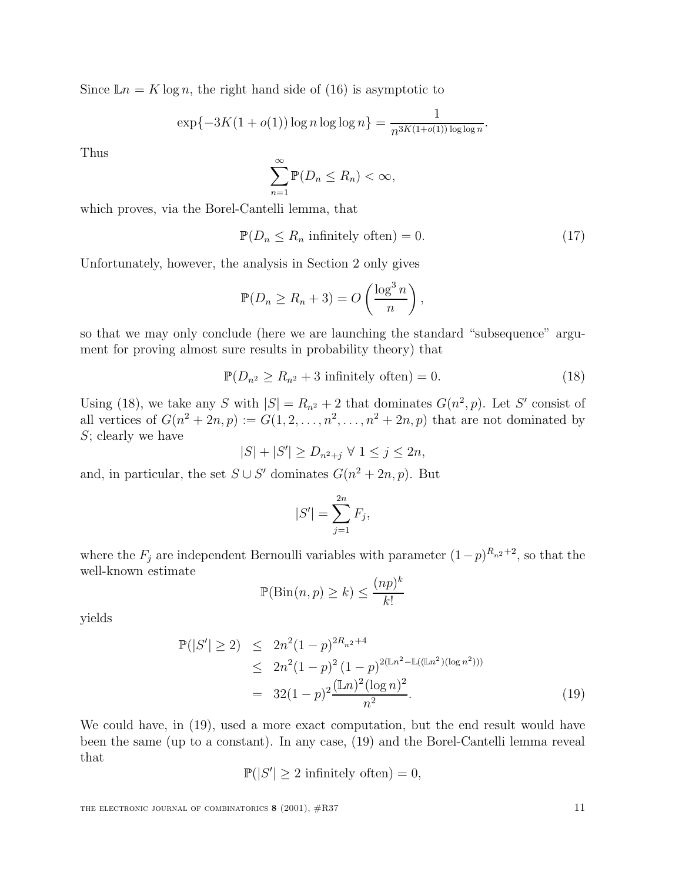Since  $\mathbb{L}n = K \log n$ , the right hand side of (16) is asymptotic to

$$
\exp\{-3K(1+o(1))\log n\log\log n\} = \frac{1}{n^{3K(1+o(1))\log\log n}}.
$$

Thus

$$
\sum_{n=1}^{\infty} \mathbb{P}(D_n \le R_n) < \infty,
$$

which proves, via the Borel-Cantelli lemma, that

$$
\mathbb{P}(D_n \le R_n \text{ infinitely often}) = 0. \tag{17}
$$

Unfortunately, however, the analysis in Section 2 only gives

$$
\mathbb{P}(D_n \ge R_n + 3) = O\left(\frac{\log^3 n}{n}\right),\,
$$

so that we may only conclude (here we are launching the standard "subsequence" argument for proving almost sure results in probability theory) that

$$
\mathbb{P}(D_{n^2} \ge R_{n^2} + 3 \text{ infinitely often}) = 0. \tag{18}
$$

Using (18), we take any S with  $|S| = R_{n^2} + 2$  that dominates  $G(n^2, p)$ . Let S' consist of all vertices of  $G(n^2 + 2n, p) := G(1, 2, \ldots, n^2, \ldots, n^2 + 2n, p)$  that are not dominated by  $S$ ; clearly we have

$$
|S| + |S'| \ge D_{n^2 + j} \ \forall \ 1 \le j \le 2n,
$$

and, in particular, the set  $S \cup S'$  dominates  $G(n^2 + 2n, p)$ . But

$$
|S'| = \sum_{j=1}^{2n} F_j,
$$

where the  $F_j$  are independent Bernoulli variables with parameter  $(1-p)^{R_{n^2}+2}$ , so that the well-known estimate

$$
\mathbb{P}(\text{Bin}(n, p) \ge k) \le \frac{(np)^k}{k!}
$$

yields

$$
\mathbb{P}(|S'| \ge 2) \le 2n^2(1-p)^{2R_{n^2}+4}
$$
  
\n
$$
\le 2n^2(1-p)^2(1-p)^{2(\mathbb{L}n^2-\mathbb{L}((\mathbb{L}n^2)(\log n^2)))}
$$
  
\n
$$
= 32(1-p)^2\frac{(\mathbb{L}n)^2(\log n)^2}{n^2}.
$$
\n(19)

We could have, in (19), used a more exact computation, but the end result would have been the same (up to a constant). In any case, (19) and the Borel-Cantelli lemma reveal that

$$
\mathbb{P}(|S'| \ge 2 \text{ infinitely often}) = 0,
$$

THE ELECTRONIC JOURNAL OF COMBINATORICS **8** (2001),  $\#R37$  11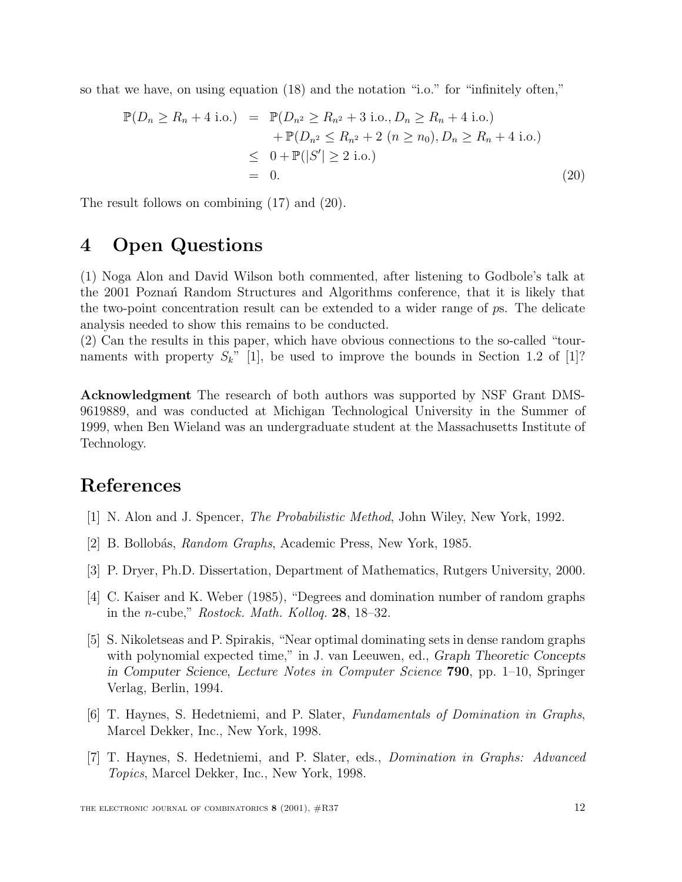so that we have, on using equation (18) and the notation "i.o." for "infinitely often,"

$$
\mathbb{P}(D_n \ge R_n + 4 \text{ i.o.}) = \mathbb{P}(D_{n^2} \ge R_{n^2} + 3 \text{ i.o.}, D_n \ge R_n + 4 \text{ i.o.}) \n+ \mathbb{P}(D_{n^2} \le R_{n^2} + 2 \ (n \ge n_0), D_n \ge R_n + 4 \text{ i.o.}) \n\le 0 + \mathbb{P}(|S'| \ge 2 \text{ i.o.}) \n= 0.
$$
\n(20)

The result follows on combining (17) and (20).

# **4 Open Questions**

(1) Noga Alon and David Wilson both commented, after listening to Godbole's talk at the 2001 Poznañ Random Structures and Algorithms conference, that it is likely that the two-point concentration result can be extended to a wider range of ps. The delicate analysis needed to show this remains to be conducted.

(2) Can the results in this paper, which have obvious connections to the so-called "tournaments with property  $S_k$ " [1], be used to improve the bounds in Section 1.2 of [1]?

**Acknowledgment** The research of both authors was supported by NSF Grant DMS-9619889, and was conducted at Michigan Technological University in the Summer of 1999, when Ben Wieland was an undergraduate student at the Massachusetts Institute of Technology.

### **References**

- [1] N. Alon and J. Spencer, The Probabilistic Method, John Wiley, New York, 1992.
- [2] B. Bollobás, Random Graphs, Academic Press, New York, 1985.
- [3] P. Dryer, Ph.D. Dissertation, Department of Mathematics, Rutgers University, 2000.
- [4] C. Kaiser and K. Weber (1985), "Degrees and domination number of random graphs in the n-cube," Rostock. Math. Kolloq. **<sup>28</sup>**, 18–32.
- [5] S. Nikoletseas and P. Spirakis, "Near optimal dominating sets in dense random graphs with polynomial expected time," in J. van Leeuwen, ed., Graph Theoretic Concepts in Computer Science, Lecture Notes in Computer Science **790**, pp. 1–10, Springer Verlag, Berlin, 1994.
- [6] T. Haynes, S. Hedetniemi, and P. Slater, Fundamentals of Domination in Graphs, Marcel Dekker, Inc., New York, 1998.
- [7] T. Haynes, S. Hedetniemi, and P. Slater, eds., Domination in Graphs: Advanced Topics, Marcel Dekker, Inc., New York, 1998.